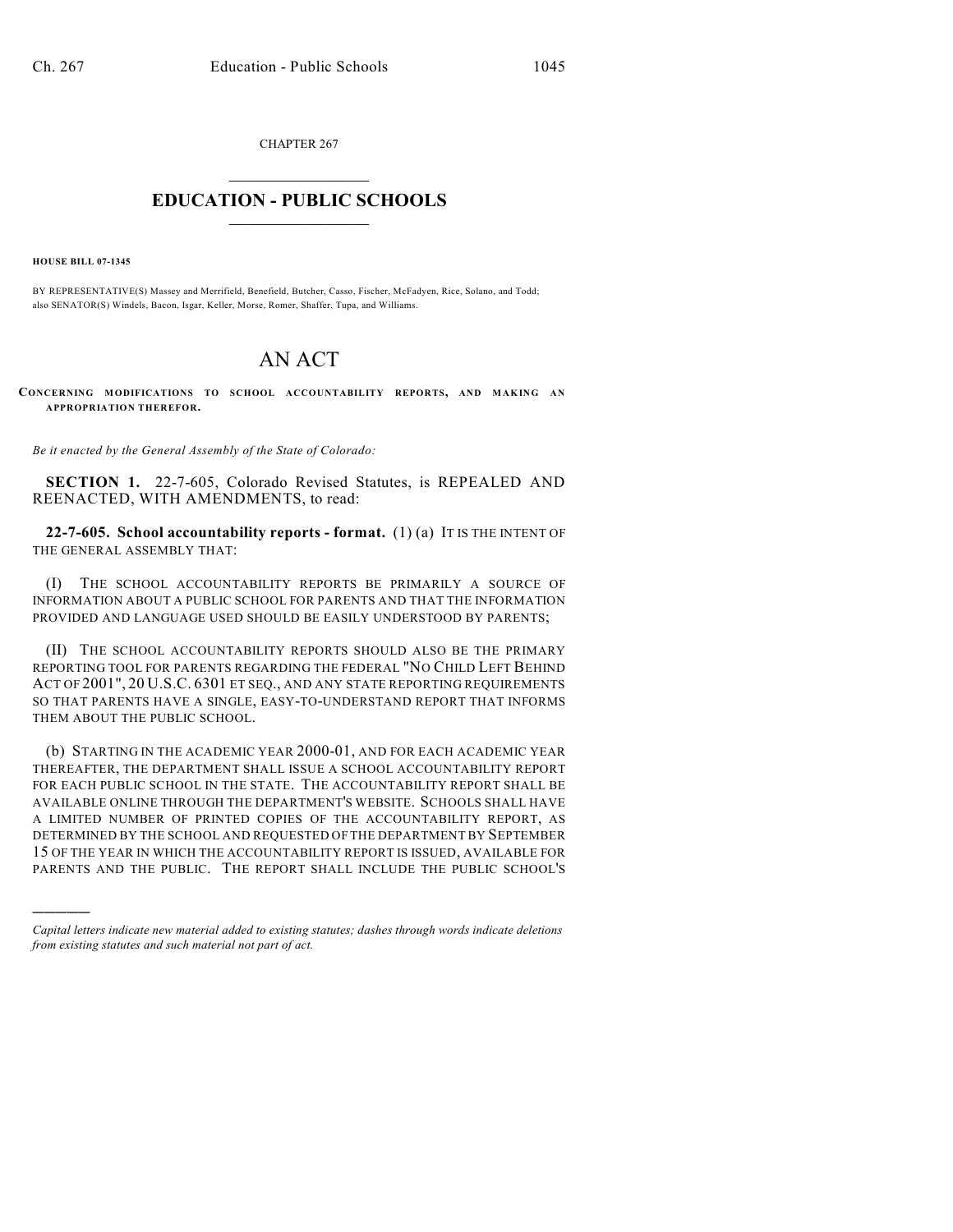CHAPTER 267  $\mathcal{L}_\text{max}$  . The set of the set of the set of the set of the set of the set of the set of the set of the set of the set of the set of the set of the set of the set of the set of the set of the set of the set of the set

## **EDUCATION - PUBLIC SCHOOLS**  $\_$   $\_$   $\_$   $\_$   $\_$   $\_$   $\_$   $\_$   $\_$

**HOUSE BILL 07-1345**

)))))

BY REPRESENTATIVE(S) Massey and Merrifield, Benefield, Butcher, Casso, Fischer, McFadyen, Rice, Solano, and Todd; also SENATOR(S) Windels, Bacon, Isgar, Keller, Morse, Romer, Shaffer, Tupa, and Williams.

## AN ACT

**CONCERNING MODIFICATIONS TO SCHOOL ACCOUNTABILITY REPORTS, AND MAKING AN APPROPRIATION THEREFOR.**

*Be it enacted by the General Assembly of the State of Colorado:*

**SECTION 1.** 22-7-605, Colorado Revised Statutes, is REPEALED AND REENACTED, WITH AMENDMENTS, to read:

**22-7-605. School accountability reports - format.** (1) (a) IT IS THE INTENT OF THE GENERAL ASSEMBLY THAT:

(I) THE SCHOOL ACCOUNTABILITY REPORTS BE PRIMARILY A SOURCE OF INFORMATION ABOUT A PUBLIC SCHOOL FOR PARENTS AND THAT THE INFORMATION PROVIDED AND LANGUAGE USED SHOULD BE EASILY UNDERSTOOD BY PARENTS;

(II) THE SCHOOL ACCOUNTABILITY REPORTS SHOULD ALSO BE THE PRIMARY REPORTING TOOL FOR PARENTS REGARDING THE FEDERAL "NO CHILD LEFT BEHIND ACT OF 2001", 20 U.S.C. 6301 ET SEQ., AND ANY STATE REPORTING REQUIREMENTS SO THAT PARENTS HAVE A SINGLE, EASY-TO-UNDERSTAND REPORT THAT INFORMS THEM ABOUT THE PUBLIC SCHOOL.

(b) STARTING IN THE ACADEMIC YEAR 2000-01, AND FOR EACH ACADEMIC YEAR THEREAFTER, THE DEPARTMENT SHALL ISSUE A SCHOOL ACCOUNTABILITY REPORT FOR EACH PUBLIC SCHOOL IN THE STATE. THE ACCOUNTABILITY REPORT SHALL BE AVAILABLE ONLINE THROUGH THE DEPARTMENT'S WEBSITE. SCHOOLS SHALL HAVE A LIMITED NUMBER OF PRINTED COPIES OF THE ACCOUNTABILITY REPORT, AS DETERMINED BY THE SCHOOL AND REQUESTED OF THE DEPARTMENT BY SEPTEMBER 15 OF THE YEAR IN WHICH THE ACCOUNTABILITY REPORT IS ISSUED, AVAILABLE FOR PARENTS AND THE PUBLIC. THE REPORT SHALL INCLUDE THE PUBLIC SCHOOL'S

*Capital letters indicate new material added to existing statutes; dashes through words indicate deletions from existing statutes and such material not part of act.*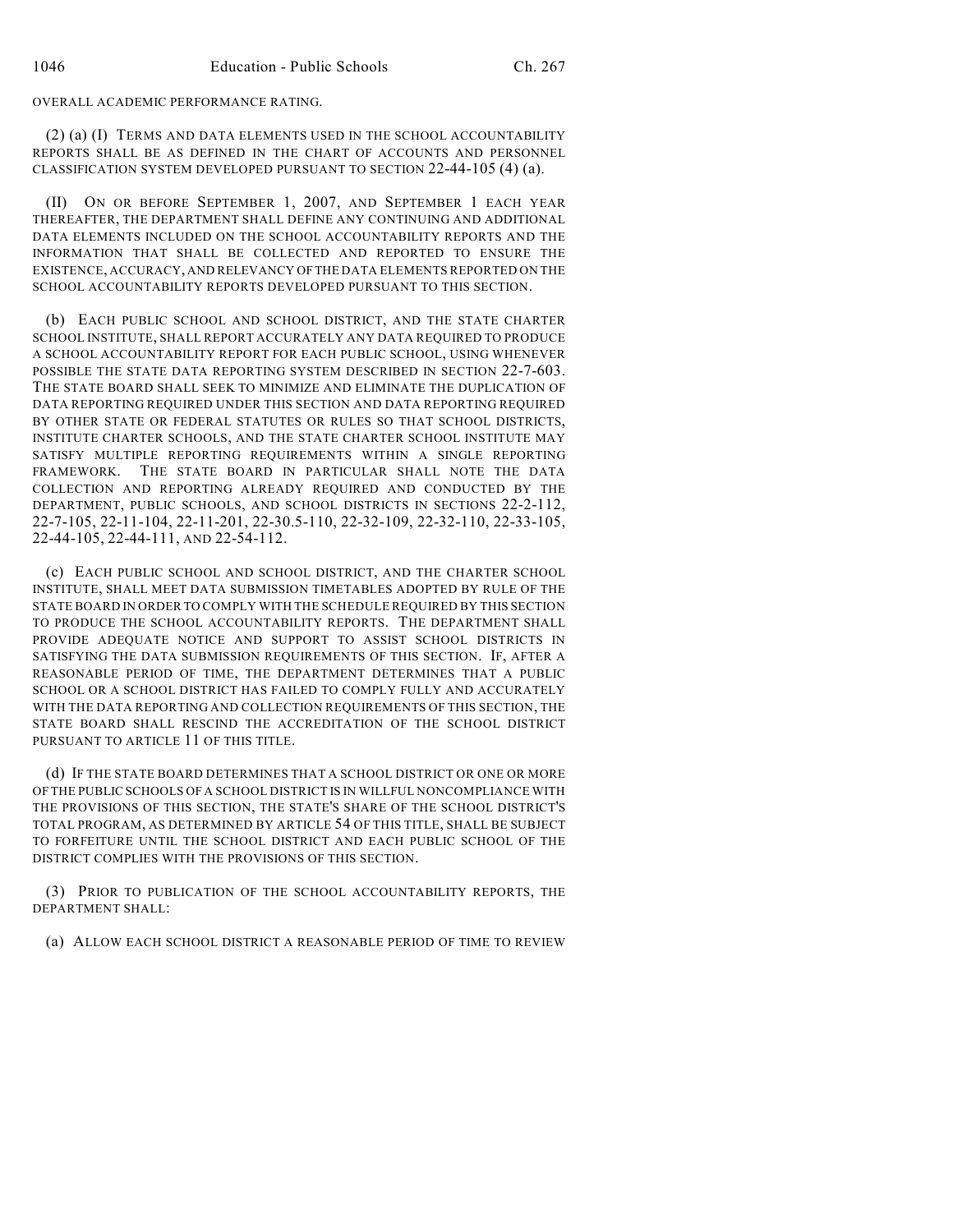OVERALL ACADEMIC PERFORMANCE RATING.

(2) (a) (I) TERMS AND DATA ELEMENTS USED IN THE SCHOOL ACCOUNTABILITY REPORTS SHALL BE AS DEFINED IN THE CHART OF ACCOUNTS AND PERSONNEL CLASSIFICATION SYSTEM DEVELOPED PURSUANT TO SECTION 22-44-105 (4) (a).

(II) ON OR BEFORE SEPTEMBER 1, 2007, AND SEPTEMBER 1 EACH YEAR THEREAFTER, THE DEPARTMENT SHALL DEFINE ANY CONTINUING AND ADDITIONAL DATA ELEMENTS INCLUDED ON THE SCHOOL ACCOUNTABILITY REPORTS AND THE INFORMATION THAT SHALL BE COLLECTED AND REPORTED TO ENSURE THE EXISTENCE, ACCURACY, AND RELEVANCY OF THE DATA ELEMENTS REPORTED ON THE SCHOOL ACCOUNTABILITY REPORTS DEVELOPED PURSUANT TO THIS SECTION.

(b) EACH PUBLIC SCHOOL AND SCHOOL DISTRICT, AND THE STATE CHARTER SCHOOL INSTITUTE, SHALL REPORT ACCURATELY ANY DATA REQUIRED TO PRODUCE A SCHOOL ACCOUNTABILITY REPORT FOR EACH PUBLIC SCHOOL, USING WHENEVER POSSIBLE THE STATE DATA REPORTING SYSTEM DESCRIBED IN SECTION 22-7-603. THE STATE BOARD SHALL SEEK TO MINIMIZE AND ELIMINATE THE DUPLICATION OF DATA REPORTING REQUIRED UNDER THIS SECTION AND DATA REPORTING REQUIRED BY OTHER STATE OR FEDERAL STATUTES OR RULES SO THAT SCHOOL DISTRICTS, INSTITUTE CHARTER SCHOOLS, AND THE STATE CHARTER SCHOOL INSTITUTE MAY SATISFY MULTIPLE REPORTING REQUIREMENTS WITHIN A SINGLE REPORTING FRAMEWORK. THE STATE BOARD IN PARTICULAR SHALL NOTE THE DATA COLLECTION AND REPORTING ALREADY REQUIRED AND CONDUCTED BY THE DEPARTMENT, PUBLIC SCHOOLS, AND SCHOOL DISTRICTS IN SECTIONS 22-2-112, 22-7-105, 22-11-104, 22-11-201, 22-30.5-110, 22-32-109, 22-32-110, 22-33-105, 22-44-105, 22-44-111, AND 22-54-112.

(c) EACH PUBLIC SCHOOL AND SCHOOL DISTRICT, AND THE CHARTER SCHOOL INSTITUTE, SHALL MEET DATA SUBMISSION TIMETABLES ADOPTED BY RULE OF THE STATE BOARD IN ORDER TO COMPLY WITH THE SCHEDULE REQUIRED BY THIS SECTION TO PRODUCE THE SCHOOL ACCOUNTABILITY REPORTS. THE DEPARTMENT SHALL PROVIDE ADEQUATE NOTICE AND SUPPORT TO ASSIST SCHOOL DISTRICTS IN SATISFYING THE DATA SUBMISSION REQUIREMENTS OF THIS SECTION. IF, AFTER A REASONABLE PERIOD OF TIME, THE DEPARTMENT DETERMINES THAT A PUBLIC SCHOOL OR A SCHOOL DISTRICT HAS FAILED TO COMPLY FULLY AND ACCURATELY WITH THE DATA REPORTING AND COLLECTION REQUIREMENTS OF THIS SECTION, THE STATE BOARD SHALL RESCIND THE ACCREDITATION OF THE SCHOOL DISTRICT PURSUANT TO ARTICLE 11 OF THIS TITLE.

(d) IF THE STATE BOARD DETERMINES THAT A SCHOOL DISTRICT OR ONE OR MORE OF THE PUBLIC SCHOOLS OF A SCHOOL DISTRICT IS IN WILLFUL NONCOMPLIANCE WITH THE PROVISIONS OF THIS SECTION, THE STATE'S SHARE OF THE SCHOOL DISTRICT'S TOTAL PROGRAM, AS DETERMINED BY ARTICLE 54 OF THIS TITLE, SHALL BE SUBJECT TO FORFEITURE UNTIL THE SCHOOL DISTRICT AND EACH PUBLIC SCHOOL OF THE DISTRICT COMPLIES WITH THE PROVISIONS OF THIS SECTION.

(3) PRIOR TO PUBLICATION OF THE SCHOOL ACCOUNTABILITY REPORTS, THE DEPARTMENT SHALL:

(a) ALLOW EACH SCHOOL DISTRICT A REASONABLE PERIOD OF TIME TO REVIEW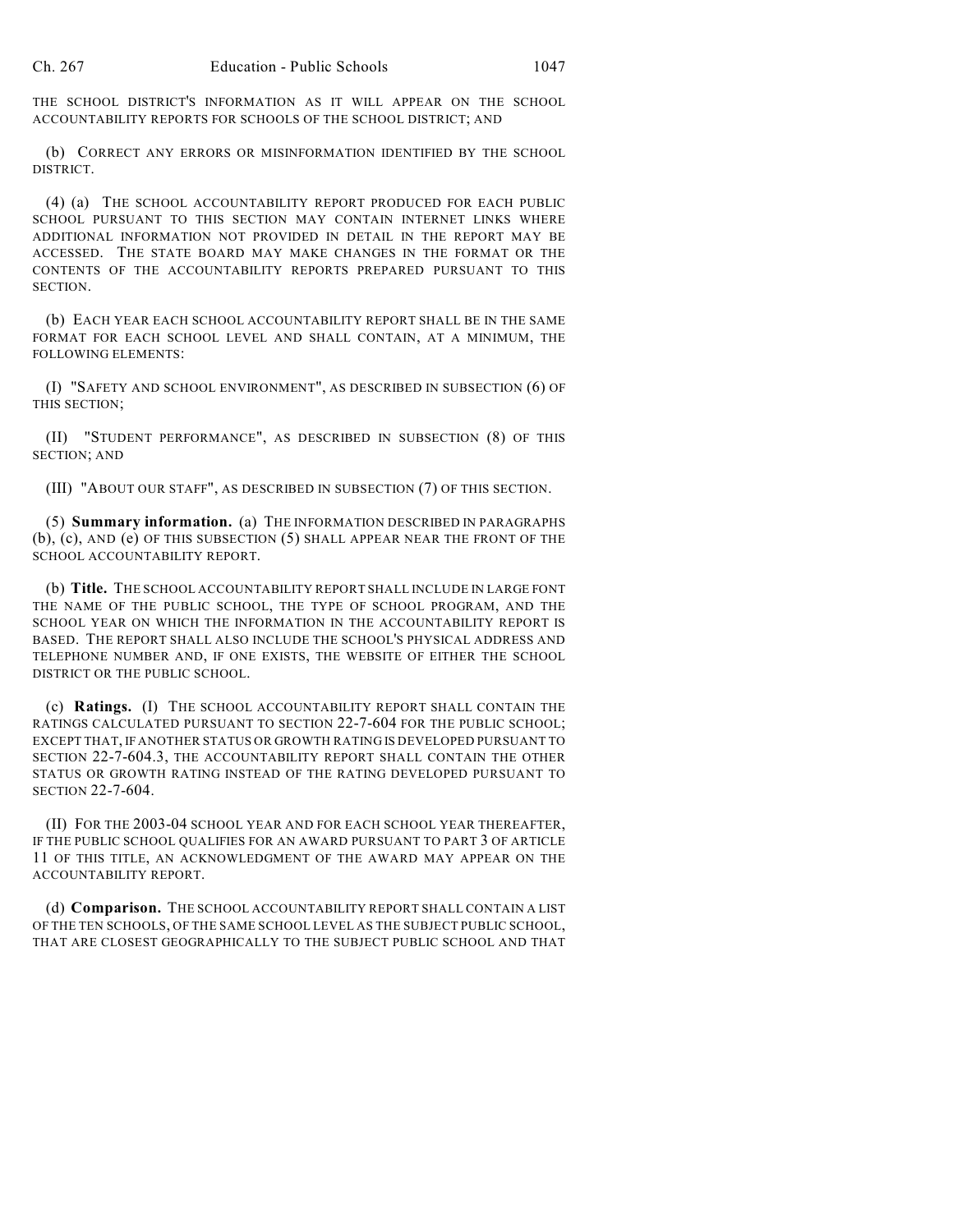THE SCHOOL DISTRICT'S INFORMATION AS IT WILL APPEAR ON THE SCHOOL ACCOUNTABILITY REPORTS FOR SCHOOLS OF THE SCHOOL DISTRICT; AND

(b) CORRECT ANY ERRORS OR MISINFORMATION IDENTIFIED BY THE SCHOOL DISTRICT.

(4) (a) THE SCHOOL ACCOUNTABILITY REPORT PRODUCED FOR EACH PUBLIC SCHOOL PURSUANT TO THIS SECTION MAY CONTAIN INTERNET LINKS WHERE ADDITIONAL INFORMATION NOT PROVIDED IN DETAIL IN THE REPORT MAY BE ACCESSED. THE STATE BOARD MAY MAKE CHANGES IN THE FORMAT OR THE CONTENTS OF THE ACCOUNTABILITY REPORTS PREPARED PURSUANT TO THIS SECTION.

(b) EACH YEAR EACH SCHOOL ACCOUNTABILITY REPORT SHALL BE IN THE SAME FORMAT FOR EACH SCHOOL LEVEL AND SHALL CONTAIN, AT A MINIMUM, THE FOLLOWING ELEMENTS:

(I) "SAFETY AND SCHOOL ENVIRONMENT", AS DESCRIBED IN SUBSECTION (6) OF THIS SECTION;

(II) "STUDENT PERFORMANCE", AS DESCRIBED IN SUBSECTION (8) OF THIS SECTION; AND

(III) "ABOUT OUR STAFF", AS DESCRIBED IN SUBSECTION (7) OF THIS SECTION.

(5) **Summary information.** (a) THE INFORMATION DESCRIBED IN PARAGRAPHS (b), (c), AND (e) OF THIS SUBSECTION (5) SHALL APPEAR NEAR THE FRONT OF THE SCHOOL ACCOUNTABILITY REPORT.

(b) **Title.** THE SCHOOL ACCOUNTABILITY REPORT SHALL INCLUDE IN LARGE FONT THE NAME OF THE PUBLIC SCHOOL, THE TYPE OF SCHOOL PROGRAM, AND THE SCHOOL YEAR ON WHICH THE INFORMATION IN THE ACCOUNTABILITY REPORT IS BASED. THE REPORT SHALL ALSO INCLUDE THE SCHOOL'S PHYSICAL ADDRESS AND TELEPHONE NUMBER AND, IF ONE EXISTS, THE WEBSITE OF EITHER THE SCHOOL DISTRICT OR THE PUBLIC SCHOOL.

(c) **Ratings.** (I) THE SCHOOL ACCOUNTABILITY REPORT SHALL CONTAIN THE RATINGS CALCULATED PURSUANT TO SECTION 22-7-604 FOR THE PUBLIC SCHOOL; EXCEPT THAT, IF ANOTHER STATUS OR GROWTH RATING IS DEVELOPED PURSUANT TO SECTION 22-7-604.3, THE ACCOUNTABILITY REPORT SHALL CONTAIN THE OTHER STATUS OR GROWTH RATING INSTEAD OF THE RATING DEVELOPED PURSUANT TO SECTION 22-7-604.

(II) FOR THE 2003-04 SCHOOL YEAR AND FOR EACH SCHOOL YEAR THEREAFTER, IF THE PUBLIC SCHOOL QUALIFIES FOR AN AWARD PURSUANT TO PART 3 OF ARTICLE 11 OF THIS TITLE, AN ACKNOWLEDGMENT OF THE AWARD MAY APPEAR ON THE ACCOUNTABILITY REPORT.

(d) **Comparison.** THE SCHOOL ACCOUNTABILITY REPORT SHALL CONTAIN A LIST OF THE TEN SCHOOLS, OF THE SAME SCHOOL LEVEL AS THE SUBJECT PUBLIC SCHOOL, THAT ARE CLOSEST GEOGRAPHICALLY TO THE SUBJECT PUBLIC SCHOOL AND THAT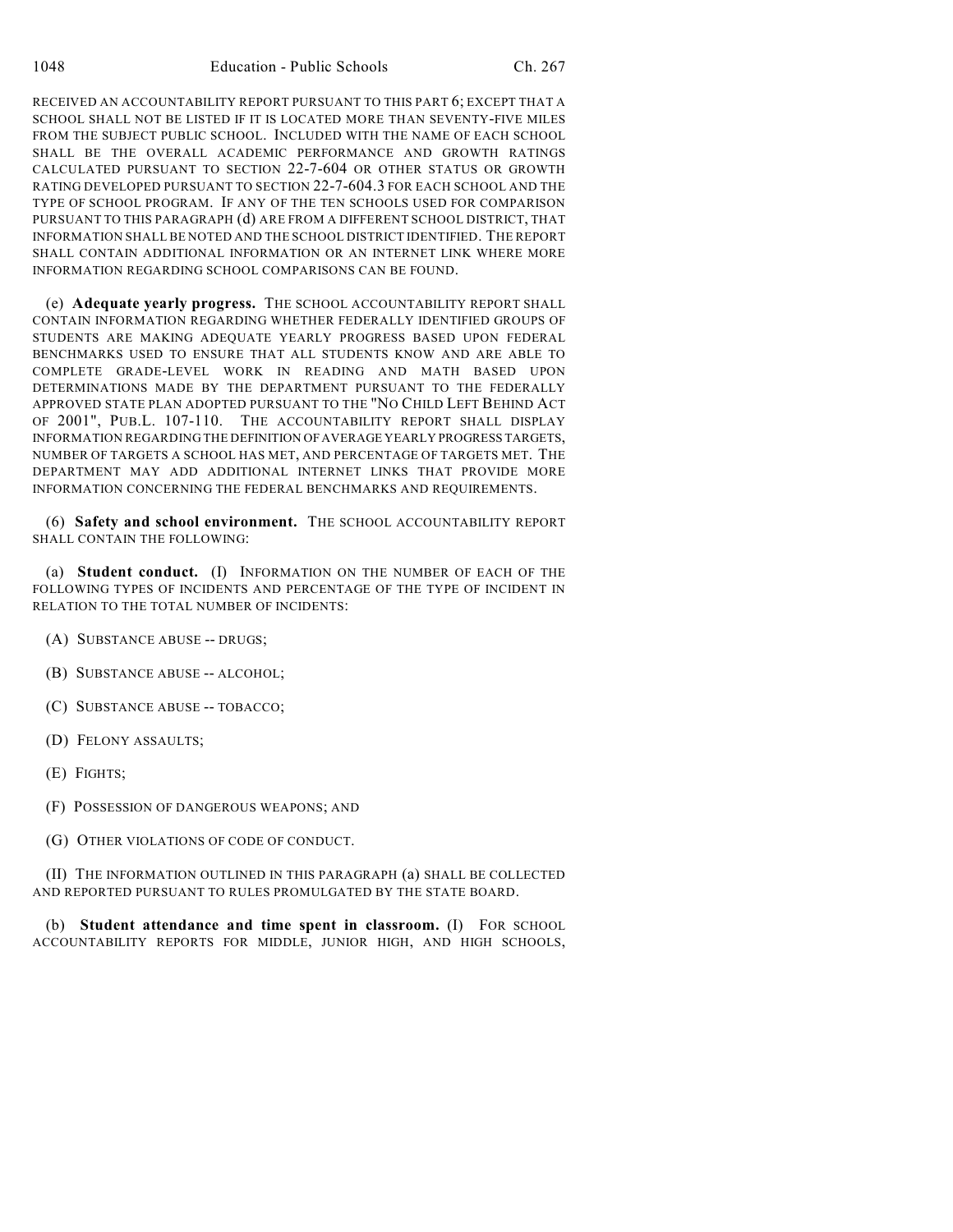RECEIVED AN ACCOUNTABILITY REPORT PURSUANT TO THIS PART 6; EXCEPT THAT A SCHOOL SHALL NOT BE LISTED IF IT IS LOCATED MORE THAN SEVENTY-FIVE MILES FROM THE SUBJECT PUBLIC SCHOOL. INCLUDED WITH THE NAME OF EACH SCHOOL SHALL BE THE OVERALL ACADEMIC PERFORMANCE AND GROWTH RATINGS CALCULATED PURSUANT TO SECTION 22-7-604 OR OTHER STATUS OR GROWTH RATING DEVELOPED PURSUANT TO SECTION 22-7-604.3 FOR EACH SCHOOL AND THE TYPE OF SCHOOL PROGRAM. IF ANY OF THE TEN SCHOOLS USED FOR COMPARISON PURSUANT TO THIS PARAGRAPH (d) ARE FROM A DIFFERENT SCHOOL DISTRICT, THAT INFORMATION SHALL BE NOTED AND THE SCHOOL DISTRICT IDENTIFIED. THE REPORT SHALL CONTAIN ADDITIONAL INFORMATION OR AN INTERNET LINK WHERE MORE INFORMATION REGARDING SCHOOL COMPARISONS CAN BE FOUND.

(e) **Adequate yearly progress.** THE SCHOOL ACCOUNTABILITY REPORT SHALL CONTAIN INFORMATION REGARDING WHETHER FEDERALLY IDENTIFIED GROUPS OF STUDENTS ARE MAKING ADEQUATE YEARLY PROGRESS BASED UPON FEDERAL BENCHMARKS USED TO ENSURE THAT ALL STUDENTS KNOW AND ARE ABLE TO COMPLETE GRADE-LEVEL WORK IN READING AND MATH BASED UPON DETERMINATIONS MADE BY THE DEPARTMENT PURSUANT TO THE FEDERALLY APPROVED STATE PLAN ADOPTED PURSUANT TO THE "NO CHILD LEFT BEHIND ACT OF 2001", PUB.L. 107-110. THE ACCOUNTABILITY REPORT SHALL DISPLAY INFORMATION REGARDING THE DEFINITION OF AVERAGE YEARLY PROGRESS TARGETS, NUMBER OF TARGETS A SCHOOL HAS MET, AND PERCENTAGE OF TARGETS MET. THE DEPARTMENT MAY ADD ADDITIONAL INTERNET LINKS THAT PROVIDE MORE INFORMATION CONCERNING THE FEDERAL BENCHMARKS AND REQUIREMENTS.

(6) **Safety and school environment.** THE SCHOOL ACCOUNTABILITY REPORT SHALL CONTAIN THE FOLLOWING:

(a) **Student conduct.** (I) INFORMATION ON THE NUMBER OF EACH OF THE FOLLOWING TYPES OF INCIDENTS AND PERCENTAGE OF THE TYPE OF INCIDENT IN RELATION TO THE TOTAL NUMBER OF INCIDENTS:

- (A) SUBSTANCE ABUSE -- DRUGS;
- (B) SUBSTANCE ABUSE -- ALCOHOL;
- (C) SUBSTANCE ABUSE -- TOBACCO;
- (D) FELONY ASSAULTS;
- (E) FIGHTS;
- (F) POSSESSION OF DANGEROUS WEAPONS; AND
- (G) OTHER VIOLATIONS OF CODE OF CONDUCT.

(II) THE INFORMATION OUTLINED IN THIS PARAGRAPH (a) SHALL BE COLLECTED AND REPORTED PURSUANT TO RULES PROMULGATED BY THE STATE BOARD.

(b) **Student attendance and time spent in classroom.** (I) FOR SCHOOL ACCOUNTABILITY REPORTS FOR MIDDLE, JUNIOR HIGH, AND HIGH SCHOOLS,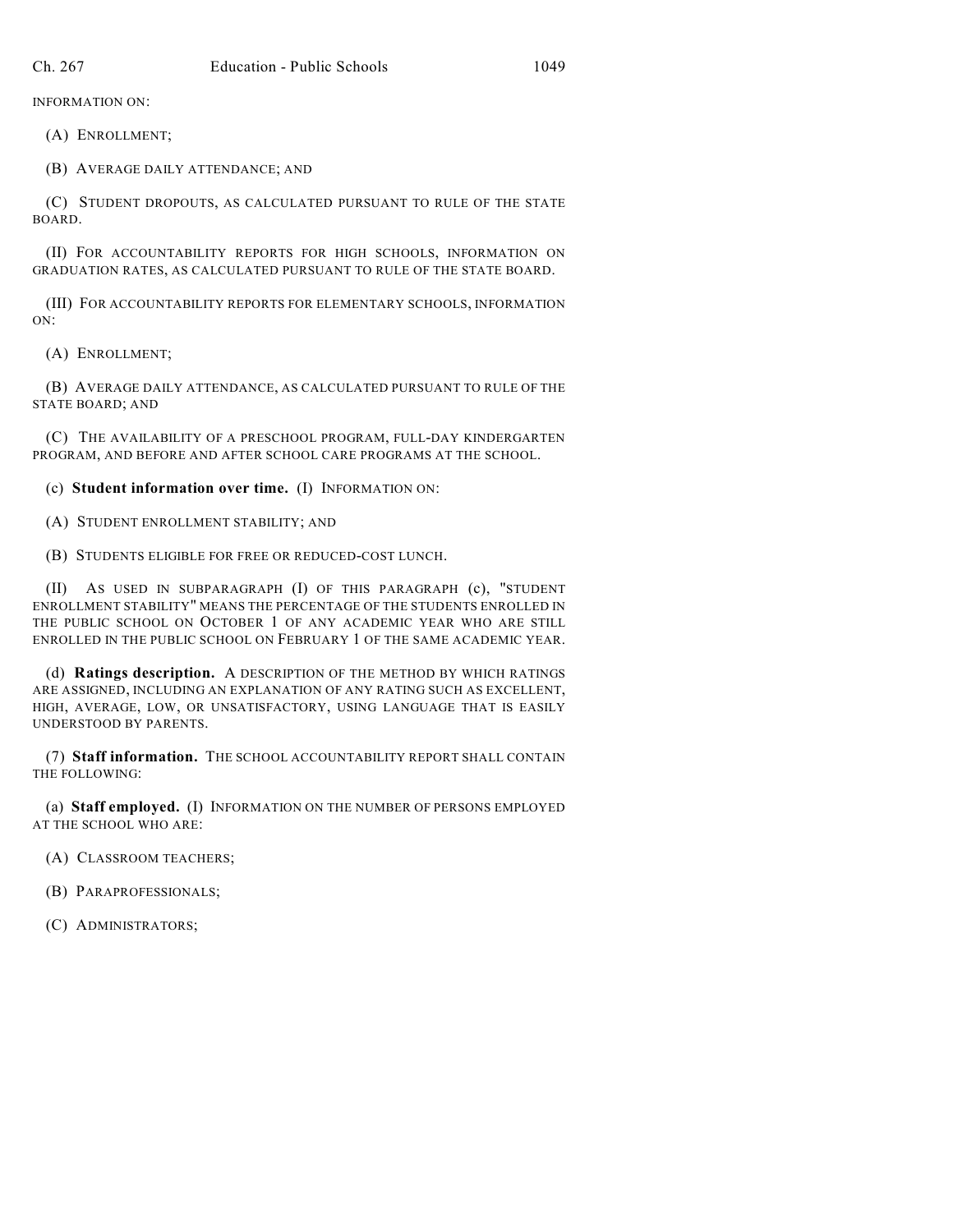INFORMATION ON:

(A) ENROLLMENT;

(B) AVERAGE DAILY ATTENDANCE; AND

(C) STUDENT DROPOUTS, AS CALCULATED PURSUANT TO RULE OF THE STATE BOARD.

(II) FOR ACCOUNTABILITY REPORTS FOR HIGH SCHOOLS, INFORMATION ON GRADUATION RATES, AS CALCULATED PURSUANT TO RULE OF THE STATE BOARD.

(III) FOR ACCOUNTABILITY REPORTS FOR ELEMENTARY SCHOOLS, INFORMATION ON:

(A) ENROLLMENT;

(B) AVERAGE DAILY ATTENDANCE, AS CALCULATED PURSUANT TO RULE OF THE STATE BOARD; AND

(C) THE AVAILABILITY OF A PRESCHOOL PROGRAM, FULL-DAY KINDERGARTEN PROGRAM, AND BEFORE AND AFTER SCHOOL CARE PROGRAMS AT THE SCHOOL.

(c) **Student information over time.** (I) INFORMATION ON:

(A) STUDENT ENROLLMENT STABILITY; AND

(B) STUDENTS ELIGIBLE FOR FREE OR REDUCED-COST LUNCH.

(II) AS USED IN SUBPARAGRAPH (I) OF THIS PARAGRAPH (c), "STUDENT ENROLLMENT STABILITY" MEANS THE PERCENTAGE OF THE STUDENTS ENROLLED IN THE PUBLIC SCHOOL ON OCTOBER 1 OF ANY ACADEMIC YEAR WHO ARE STILL ENROLLED IN THE PUBLIC SCHOOL ON FEBRUARY 1 OF THE SAME ACADEMIC YEAR.

(d) **Ratings description.** A DESCRIPTION OF THE METHOD BY WHICH RATINGS ARE ASSIGNED, INCLUDING AN EXPLANATION OF ANY RATING SUCH AS EXCELLENT, HIGH, AVERAGE, LOW, OR UNSATISFACTORY, USING LANGUAGE THAT IS EASILY UNDERSTOOD BY PARENTS.

(7) **Staff information.** THE SCHOOL ACCOUNTABILITY REPORT SHALL CONTAIN THE FOLLOWING:

(a) **Staff employed.** (I) INFORMATION ON THE NUMBER OF PERSONS EMPLOYED AT THE SCHOOL WHO ARE:

- (A) CLASSROOM TEACHERS;
- (B) PARAPROFESSIONALS;

(C) ADMINISTRATORS;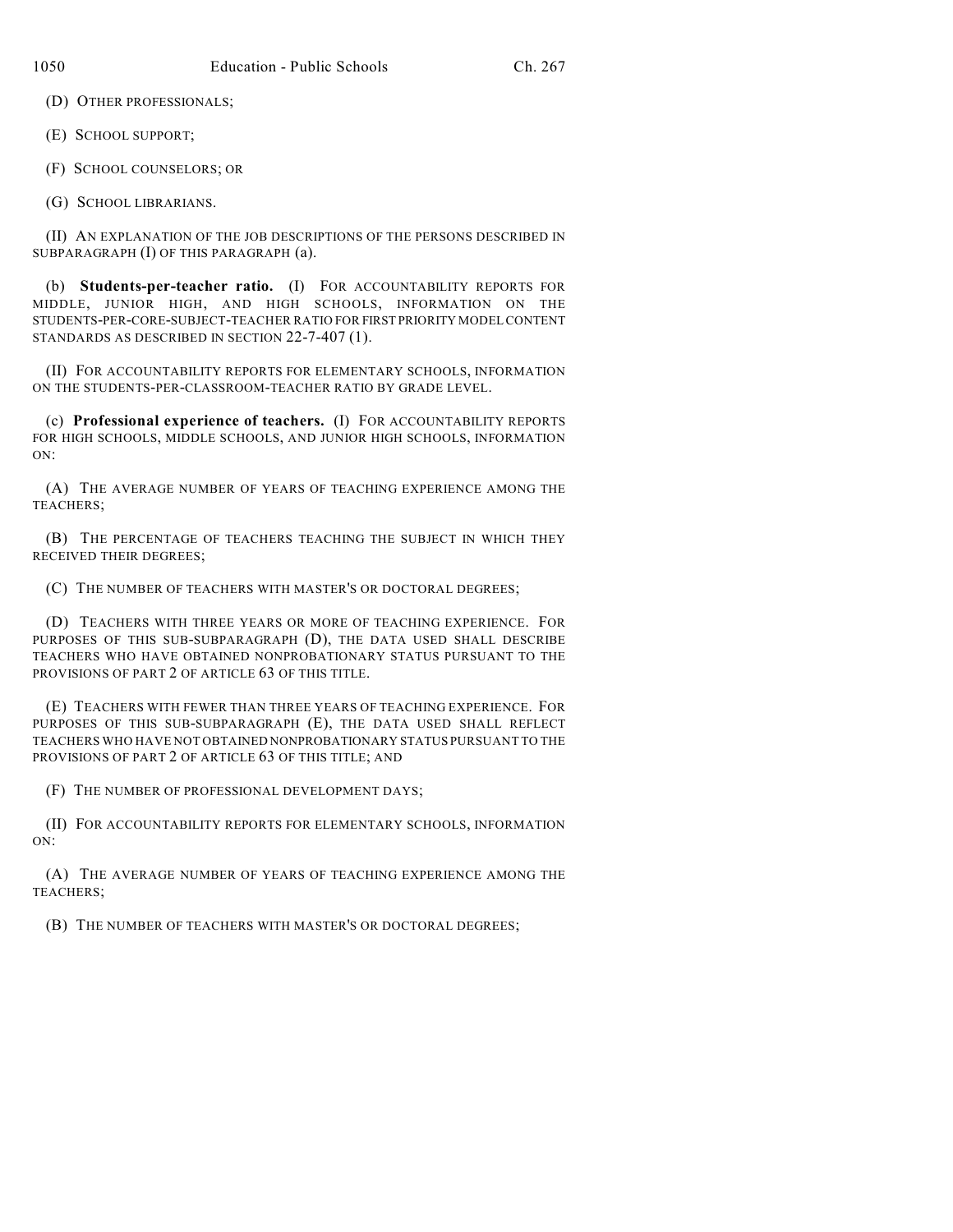(D) OTHER PROFESSIONALS;

(E) SCHOOL SUPPORT;

(F) SCHOOL COUNSELORS; OR

(G) SCHOOL LIBRARIANS.

(II) AN EXPLANATION OF THE JOB DESCRIPTIONS OF THE PERSONS DESCRIBED IN SUBPARAGRAPH (I) OF THIS PARAGRAPH (a).

(b) **Students-per-teacher ratio.** (I) FOR ACCOUNTABILITY REPORTS FOR MIDDLE, JUNIOR HIGH, AND HIGH SCHOOLS, INFORMATION ON THE STUDENTS-PER-CORE-SUBJECT-TEACHER RATIO FOR FIRST PRIORITY MODEL CONTENT STANDARDS AS DESCRIBED IN SECTION 22-7-407 (1).

(II) FOR ACCOUNTABILITY REPORTS FOR ELEMENTARY SCHOOLS, INFORMATION ON THE STUDENTS-PER-CLASSROOM-TEACHER RATIO BY GRADE LEVEL.

(c) **Professional experience of teachers.** (I) FOR ACCOUNTABILITY REPORTS FOR HIGH SCHOOLS, MIDDLE SCHOOLS, AND JUNIOR HIGH SCHOOLS, INFORMATION ON:

(A) THE AVERAGE NUMBER OF YEARS OF TEACHING EXPERIENCE AMONG THE TEACHERS;

(B) THE PERCENTAGE OF TEACHERS TEACHING THE SUBJECT IN WHICH THEY RECEIVED THEIR DEGREES;

(C) THE NUMBER OF TEACHERS WITH MASTER'S OR DOCTORAL DEGREES;

(D) TEACHERS WITH THREE YEARS OR MORE OF TEACHING EXPERIENCE. FOR PURPOSES OF THIS SUB-SUBPARAGRAPH (D), THE DATA USED SHALL DESCRIBE TEACHERS WHO HAVE OBTAINED NONPROBATIONARY STATUS PURSUANT TO THE PROVISIONS OF PART 2 OF ARTICLE 63 OF THIS TITLE.

(E) TEACHERS WITH FEWER THAN THREE YEARS OF TEACHING EXPERIENCE. FOR PURPOSES OF THIS SUB-SUBPARAGRAPH (E), THE DATA USED SHALL REFLECT TEACHERS WHO HAVE NOT OBTAINED NONPROBATIONARY STATUS PURSUANT TO THE PROVISIONS OF PART 2 OF ARTICLE 63 OF THIS TITLE; AND

(F) THE NUMBER OF PROFESSIONAL DEVELOPMENT DAYS;

(II) FOR ACCOUNTABILITY REPORTS FOR ELEMENTARY SCHOOLS, INFORMATION ON:

(A) THE AVERAGE NUMBER OF YEARS OF TEACHING EXPERIENCE AMONG THE TEACHERS;

(B) THE NUMBER OF TEACHERS WITH MASTER'S OR DOCTORAL DEGREES;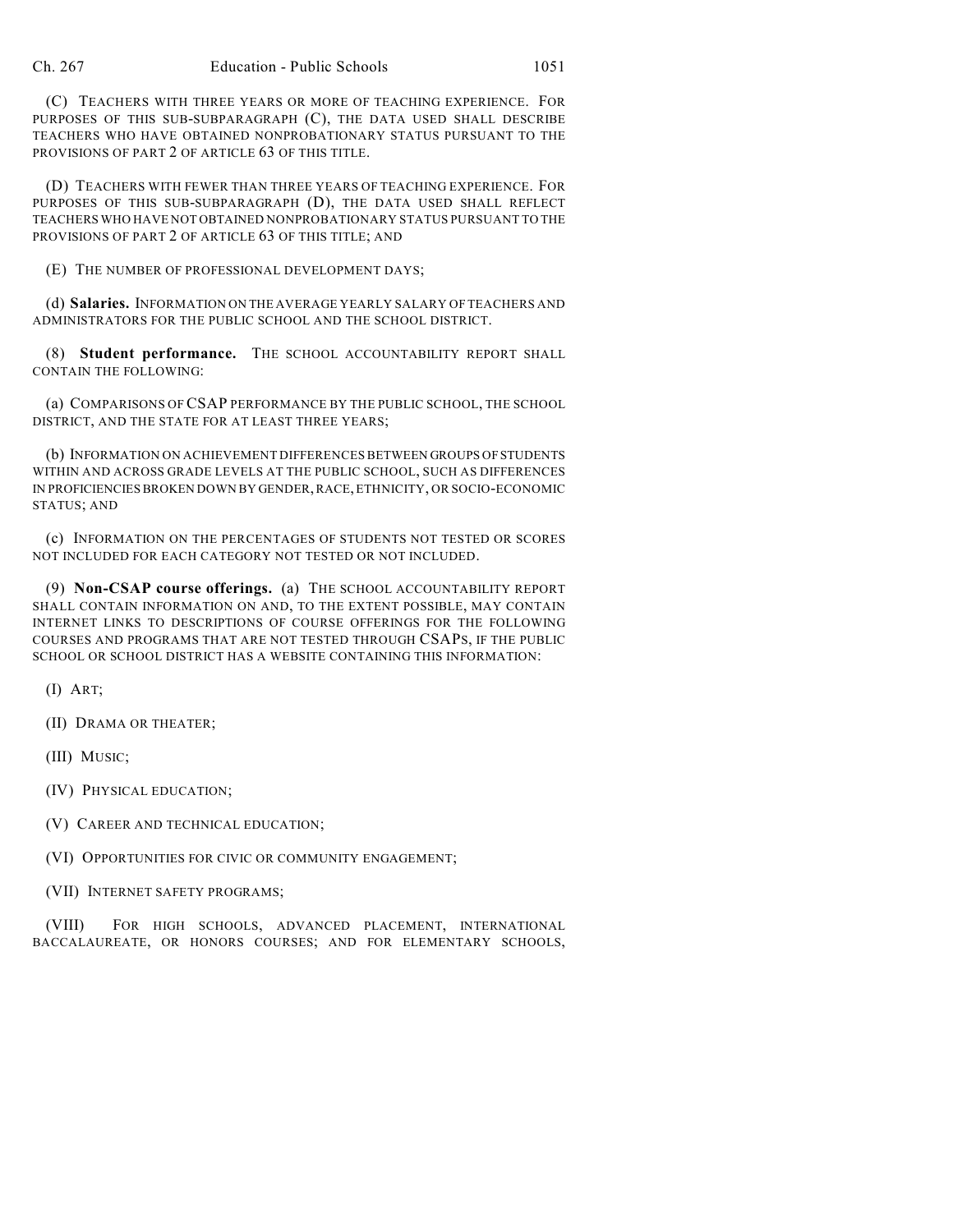(C) TEACHERS WITH THREE YEARS OR MORE OF TEACHING EXPERIENCE. FOR PURPOSES OF THIS SUB-SUBPARAGRAPH (C), THE DATA USED SHALL DESCRIBE TEACHERS WHO HAVE OBTAINED NONPROBATIONARY STATUS PURSUANT TO THE PROVISIONS OF PART 2 OF ARTICLE 63 OF THIS TITLE.

(D) TEACHERS WITH FEWER THAN THREE YEARS OF TEACHING EXPERIENCE. FOR PURPOSES OF THIS SUB-SUBPARAGRAPH (D), THE DATA USED SHALL REFLECT TEACHERS WHO HAVE NOT OBTAINED NONPROBATIONARY STATUS PURSUANT TO THE PROVISIONS OF PART 2 OF ARTICLE 63 OF THIS TITLE; AND

(E) THE NUMBER OF PROFESSIONAL DEVELOPMENT DAYS;

(d) **Salaries.** INFORMATION ON THE AVERAGE YEARLY SALARY OF TEACHERS AND ADMINISTRATORS FOR THE PUBLIC SCHOOL AND THE SCHOOL DISTRICT.

(8) **Student performance.** THE SCHOOL ACCOUNTABILITY REPORT SHALL CONTAIN THE FOLLOWING:

(a) COMPARISONS OF CSAP PERFORMANCE BY THE PUBLIC SCHOOL, THE SCHOOL DISTRICT, AND THE STATE FOR AT LEAST THREE YEARS;

(b) INFORMATION ON ACHIEVEMENT DIFFERENCES BETWEEN GROUPS OF STUDENTS WITHIN AND ACROSS GRADE LEVELS AT THE PUBLIC SCHOOL, SUCH AS DIFFERENCES IN PROFICIENCIES BROKEN DOWN BY GENDER, RACE, ETHNICITY, OR SOCIO-ECONOMIC STATUS; AND

(c) INFORMATION ON THE PERCENTAGES OF STUDENTS NOT TESTED OR SCORES NOT INCLUDED FOR EACH CATEGORY NOT TESTED OR NOT INCLUDED.

(9) **Non-CSAP course offerings.** (a) THE SCHOOL ACCOUNTABILITY REPORT SHALL CONTAIN INFORMATION ON AND, TO THE EXTENT POSSIBLE, MAY CONTAIN INTERNET LINKS TO DESCRIPTIONS OF COURSE OFFERINGS FOR THE FOLLOWING COURSES AND PROGRAMS THAT ARE NOT TESTED THROUGH CSAPS, IF THE PUBLIC SCHOOL OR SCHOOL DISTRICT HAS A WEBSITE CONTAINING THIS INFORMATION:

(I) ART;

- (II) DRAMA OR THEATER;
- (III) MUSIC;
- (IV) PHYSICAL EDUCATION;
- (V) CAREER AND TECHNICAL EDUCATION;
- (VI) OPPORTUNITIES FOR CIVIC OR COMMUNITY ENGAGEMENT;
- (VII) INTERNET SAFETY PROGRAMS;

(VIII) FOR HIGH SCHOOLS, ADVANCED PLACEMENT, INTERNATIONAL BACCALAUREATE, OR HONORS COURSES; AND FOR ELEMENTARY SCHOOLS,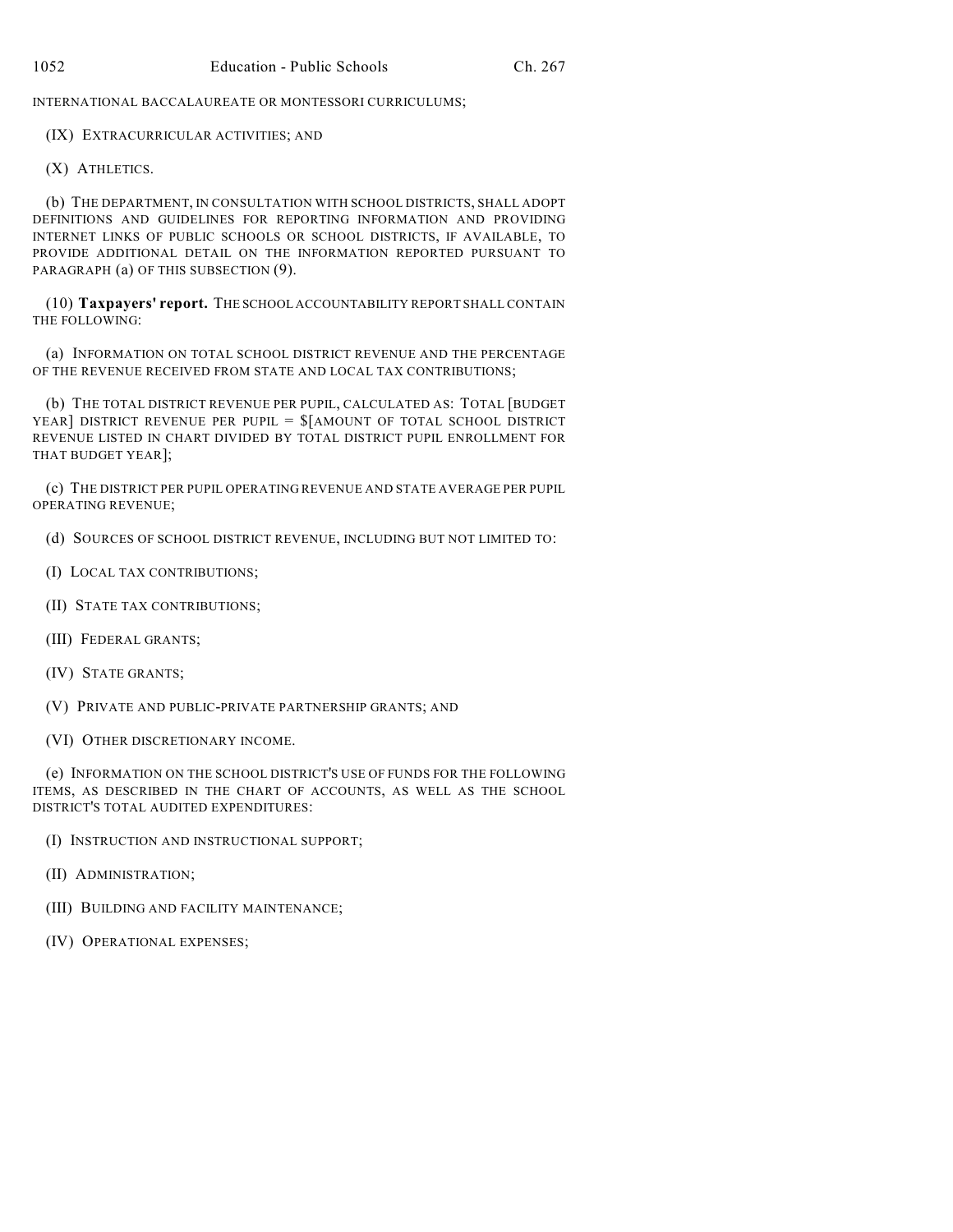INTERNATIONAL BACCALAUREATE OR MONTESSORI CURRICULUMS;

(IX) EXTRACURRICULAR ACTIVITIES; AND

(X) ATHLETICS.

(b) THE DEPARTMENT, IN CONSULTATION WITH SCHOOL DISTRICTS, SHALL ADOPT DEFINITIONS AND GUIDELINES FOR REPORTING INFORMATION AND PROVIDING INTERNET LINKS OF PUBLIC SCHOOLS OR SCHOOL DISTRICTS, IF AVAILABLE, TO PROVIDE ADDITIONAL DETAIL ON THE INFORMATION REPORTED PURSUANT TO PARAGRAPH (a) OF THIS SUBSECTION (9).

(10) **Taxpayers' report.** THE SCHOOL ACCOUNTABILITY REPORT SHALL CONTAIN THE FOLLOWING:

(a) INFORMATION ON TOTAL SCHOOL DISTRICT REVENUE AND THE PERCENTAGE OF THE REVENUE RECEIVED FROM STATE AND LOCAL TAX CONTRIBUTIONS;

(b) THE TOTAL DISTRICT REVENUE PER PUPIL, CALCULATED AS: TOTAL [BUDGET YEAR] DISTRICT REVENUE PER PUPIL =  $\frac{1}{2}$  AMOUNT OF TOTAL SCHOOL DISTRICT REVENUE LISTED IN CHART DIVIDED BY TOTAL DISTRICT PUPIL ENROLLMENT FOR THAT BUDGET YEAR];

(c) THE DISTRICT PER PUPIL OPERATING REVENUE AND STATE AVERAGE PER PUPIL OPERATING REVENUE;

- (d) SOURCES OF SCHOOL DISTRICT REVENUE, INCLUDING BUT NOT LIMITED TO:
- (I) LOCAL TAX CONTRIBUTIONS;
- (II) STATE TAX CONTRIBUTIONS;
- (III) FEDERAL GRANTS;
- (IV) STATE GRANTS;
- (V) PRIVATE AND PUBLIC-PRIVATE PARTNERSHIP GRANTS; AND
- (VI) OTHER DISCRETIONARY INCOME.

(e) INFORMATION ON THE SCHOOL DISTRICT'S USE OF FUNDS FOR THE FOLLOWING ITEMS, AS DESCRIBED IN THE CHART OF ACCOUNTS, AS WELL AS THE SCHOOL DISTRICT'S TOTAL AUDITED EXPENDITURES:

- (I) INSTRUCTION AND INSTRUCTIONAL SUPPORT;
- (II) ADMINISTRATION;
- (III) BUILDING AND FACILITY MAINTENANCE;
- (IV) OPERATIONAL EXPENSES;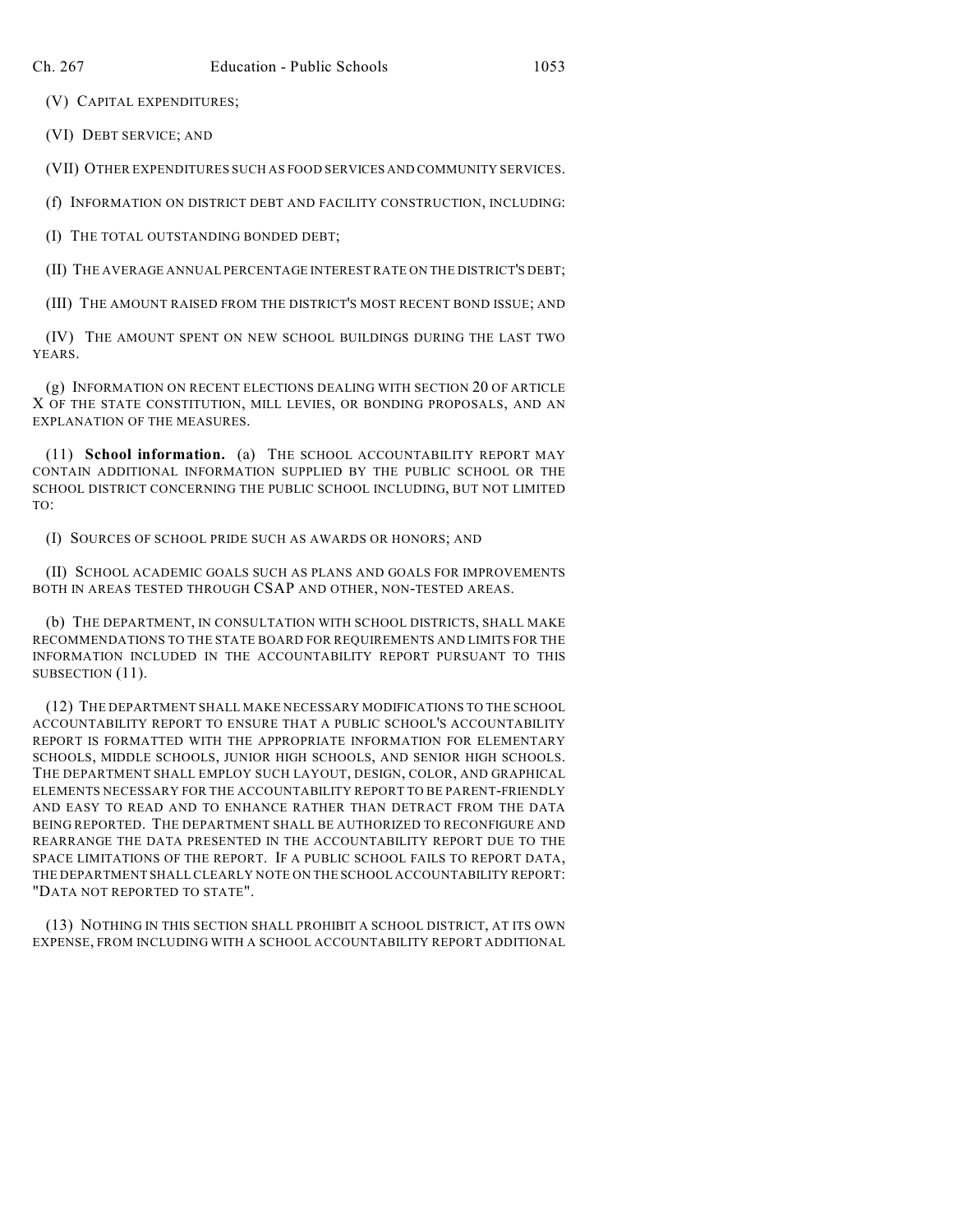(V) CAPITAL EXPENDITURES;

(VI) DEBT SERVICE; AND

(VII) OTHER EXPENDITURES SUCH AS FOOD SERVICES AND COMMUNITY SERVICES.

(f) INFORMATION ON DISTRICT DEBT AND FACILITY CONSTRUCTION, INCLUDING:

(I) THE TOTAL OUTSTANDING BONDED DEBT;

(II) THE AVERAGE ANNUAL PERCENTAGE INTEREST RATE ON THE DISTRICT'S DEBT;

(III) THE AMOUNT RAISED FROM THE DISTRICT'S MOST RECENT BOND ISSUE; AND

(IV) THE AMOUNT SPENT ON NEW SCHOOL BUILDINGS DURING THE LAST TWO YEARS.

(g) INFORMATION ON RECENT ELECTIONS DEALING WITH SECTION 20 OF ARTICLE X OF THE STATE CONSTITUTION, MILL LEVIES, OR BONDING PROPOSALS, AND AN EXPLANATION OF THE MEASURES.

(11) **School information.** (a) THE SCHOOL ACCOUNTABILITY REPORT MAY CONTAIN ADDITIONAL INFORMATION SUPPLIED BY THE PUBLIC SCHOOL OR THE SCHOOL DISTRICT CONCERNING THE PUBLIC SCHOOL INCLUDING, BUT NOT LIMITED TO:

(I) SOURCES OF SCHOOL PRIDE SUCH AS AWARDS OR HONORS; AND

(II) SCHOOL ACADEMIC GOALS SUCH AS PLANS AND GOALS FOR IMPROVEMENTS BOTH IN AREAS TESTED THROUGH CSAP AND OTHER, NON-TESTED AREAS.

(b) THE DEPARTMENT, IN CONSULTATION WITH SCHOOL DISTRICTS, SHALL MAKE RECOMMENDATIONS TO THE STATE BOARD FOR REQUIREMENTS AND LIMITS FOR THE INFORMATION INCLUDED IN THE ACCOUNTABILITY REPORT PURSUANT TO THIS SUBSECTION (11).

(12) THE DEPARTMENT SHALL MAKE NECESSARY MODIFICATIONS TO THE SCHOOL ACCOUNTABILITY REPORT TO ENSURE THAT A PUBLIC SCHOOL'S ACCOUNTABILITY REPORT IS FORMATTED WITH THE APPROPRIATE INFORMATION FOR ELEMENTARY SCHOOLS, MIDDLE SCHOOLS, JUNIOR HIGH SCHOOLS, AND SENIOR HIGH SCHOOLS. THE DEPARTMENT SHALL EMPLOY SUCH LAYOUT, DESIGN, COLOR, AND GRAPHICAL ELEMENTS NECESSARY FOR THE ACCOUNTABILITY REPORT TO BE PARENT-FRIENDLY AND EASY TO READ AND TO ENHANCE RATHER THAN DETRACT FROM THE DATA BEING REPORTED. THE DEPARTMENT SHALL BE AUTHORIZED TO RECONFIGURE AND REARRANGE THE DATA PRESENTED IN THE ACCOUNTABILITY REPORT DUE TO THE SPACE LIMITATIONS OF THE REPORT. IF A PUBLIC SCHOOL FAILS TO REPORT DATA, THE DEPARTMENT SHALL CLEARLY NOTE ON THE SCHOOL ACCOUNTABILITY REPORT: "DATA NOT REPORTED TO STATE".

(13) NOTHING IN THIS SECTION SHALL PROHIBIT A SCHOOL DISTRICT, AT ITS OWN EXPENSE, FROM INCLUDING WITH A SCHOOL ACCOUNTABILITY REPORT ADDITIONAL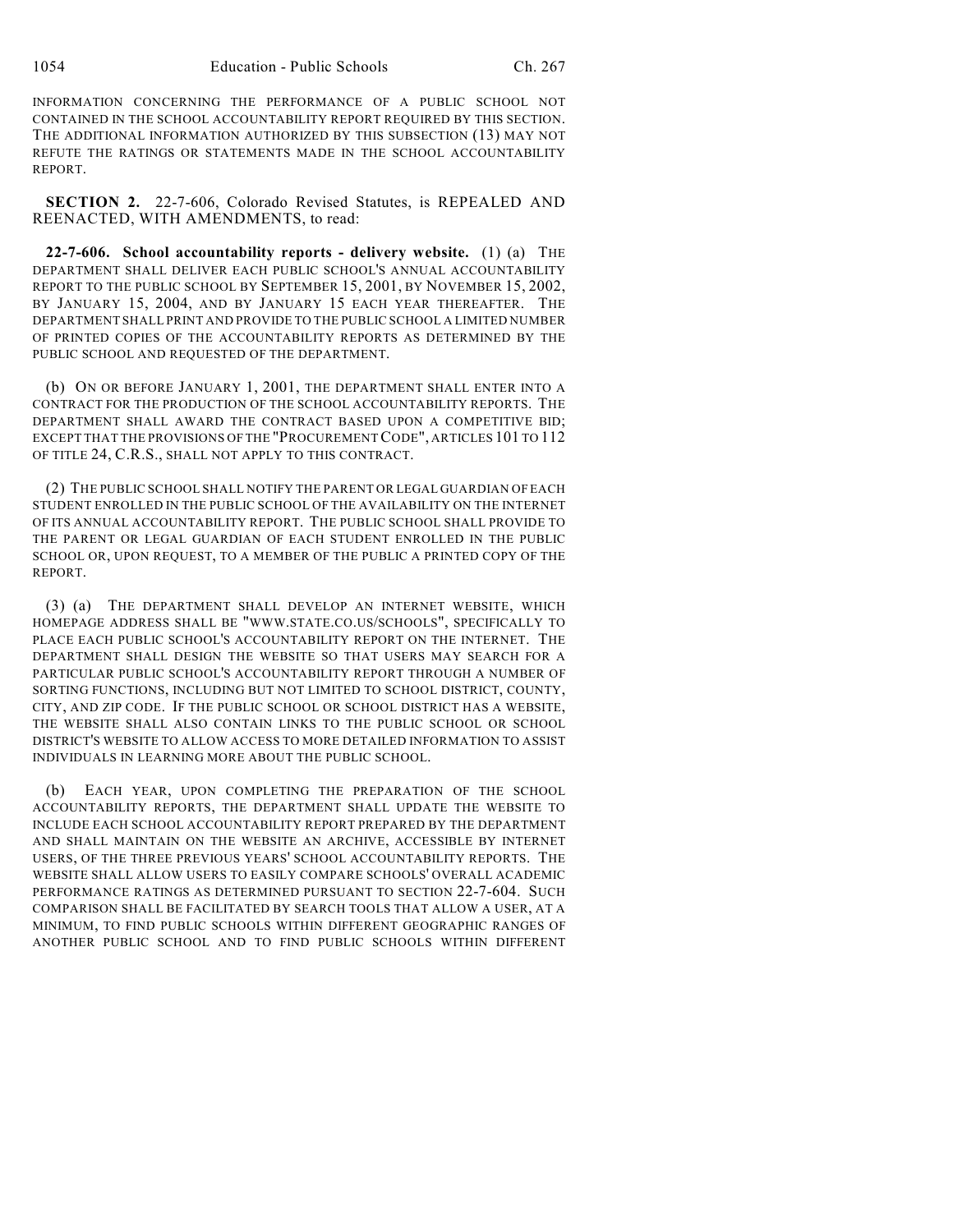INFORMATION CONCERNING THE PERFORMANCE OF A PUBLIC SCHOOL NOT CONTAINED IN THE SCHOOL ACCOUNTABILITY REPORT REQUIRED BY THIS SECTION. THE ADDITIONAL INFORMATION AUTHORIZED BY THIS SUBSECTION (13) MAY NOT REFUTE THE RATINGS OR STATEMENTS MADE IN THE SCHOOL ACCOUNTABILITY REPORT.

**SECTION 2.** 22-7-606, Colorado Revised Statutes, is REPEALED AND REENACTED, WITH AMENDMENTS, to read:

**22-7-606. School accountability reports - delivery website.** (1) (a) THE DEPARTMENT SHALL DELIVER EACH PUBLIC SCHOOL'S ANNUAL ACCOUNTABILITY REPORT TO THE PUBLIC SCHOOL BY SEPTEMBER 15, 2001, BY NOVEMBER 15, 2002, BY JANUARY 15, 2004, AND BY JANUARY 15 EACH YEAR THEREAFTER. THE DEPARTMENT SHALL PRINT AND PROVIDE TO THE PUBLIC SCHOOL A LIMITED NUMBER OF PRINTED COPIES OF THE ACCOUNTABILITY REPORTS AS DETERMINED BY THE PUBLIC SCHOOL AND REQUESTED OF THE DEPARTMENT.

(b) ON OR BEFORE JANUARY 1, 2001, THE DEPARTMENT SHALL ENTER INTO A CONTRACT FOR THE PRODUCTION OF THE SCHOOL ACCOUNTABILITY REPORTS. THE DEPARTMENT SHALL AWARD THE CONTRACT BASED UPON A COMPETITIVE BID; EXCEPT THAT THE PROVISIONS OF THE "PROCUREMENT CODE", ARTICLES 101 TO 112 OF TITLE 24, C.R.S., SHALL NOT APPLY TO THIS CONTRACT.

(2) THE PUBLIC SCHOOL SHALL NOTIFY THE PARENT OR LEGAL GUARDIAN OF EACH STUDENT ENROLLED IN THE PUBLIC SCHOOL OF THE AVAILABILITY ON THE INTERNET OF ITS ANNUAL ACCOUNTABILITY REPORT. THE PUBLIC SCHOOL SHALL PROVIDE TO THE PARENT OR LEGAL GUARDIAN OF EACH STUDENT ENROLLED IN THE PUBLIC SCHOOL OR, UPON REQUEST, TO A MEMBER OF THE PUBLIC A PRINTED COPY OF THE REPORT.

(3) (a) THE DEPARTMENT SHALL DEVELOP AN INTERNET WEBSITE, WHICH HOMEPAGE ADDRESS SHALL BE "WWW.STATE.CO.US/SCHOOLS", SPECIFICALLY TO PLACE EACH PUBLIC SCHOOL'S ACCOUNTABILITY REPORT ON THE INTERNET. THE DEPARTMENT SHALL DESIGN THE WEBSITE SO THAT USERS MAY SEARCH FOR A PARTICULAR PUBLIC SCHOOL'S ACCOUNTABILITY REPORT THROUGH A NUMBER OF SORTING FUNCTIONS, INCLUDING BUT NOT LIMITED TO SCHOOL DISTRICT, COUNTY, CITY, AND ZIP CODE. IF THE PUBLIC SCHOOL OR SCHOOL DISTRICT HAS A WEBSITE, THE WEBSITE SHALL ALSO CONTAIN LINKS TO THE PUBLIC SCHOOL OR SCHOOL DISTRICT'S WEBSITE TO ALLOW ACCESS TO MORE DETAILED INFORMATION TO ASSIST INDIVIDUALS IN LEARNING MORE ABOUT THE PUBLIC SCHOOL.

(b) EACH YEAR, UPON COMPLETING THE PREPARATION OF THE SCHOOL ACCOUNTABILITY REPORTS, THE DEPARTMENT SHALL UPDATE THE WEBSITE TO INCLUDE EACH SCHOOL ACCOUNTABILITY REPORT PREPARED BY THE DEPARTMENT AND SHALL MAINTAIN ON THE WEBSITE AN ARCHIVE, ACCESSIBLE BY INTERNET USERS, OF THE THREE PREVIOUS YEARS' SCHOOL ACCOUNTABILITY REPORTS. THE WEBSITE SHALL ALLOW USERS TO EASILY COMPARE SCHOOLS' OVERALL ACADEMIC PERFORMANCE RATINGS AS DETERMINED PURSUANT TO SECTION 22-7-604. SUCH COMPARISON SHALL BE FACILITATED BY SEARCH TOOLS THAT ALLOW A USER, AT A MINIMUM, TO FIND PUBLIC SCHOOLS WITHIN DIFFERENT GEOGRAPHIC RANGES OF ANOTHER PUBLIC SCHOOL AND TO FIND PUBLIC SCHOOLS WITHIN DIFFERENT